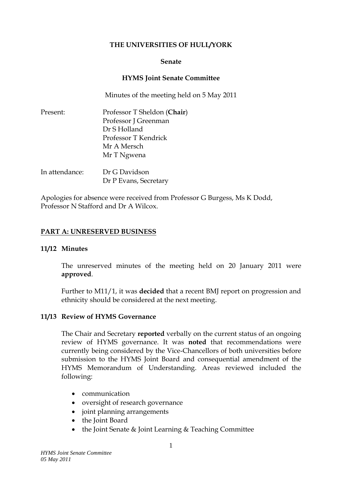### **THE UNIVERSITIES OF HULL/YORK**

#### **Senate**

### **HYMS Joint Senate Committee**

Minutes of the meeting held on 5 May 2011

| Present: | Professor T Sheldon (Chair) |
|----------|-----------------------------|
|          | Professor J Greenman        |
|          | Dr S Holland                |
|          | Professor T Kendrick        |
|          | Mr A Mersch                 |
|          | Mr T Ngwena                 |
|          |                             |
|          |                             |

| In attendance: | Dr G Davidson         |
|----------------|-----------------------|
|                | Dr P Evans, Secretary |

Apologies for absence were received from Professor G Burgess, Ms K Dodd, Professor N Stafford and Dr A Wilcox.

## **PART A: UNRESERVED BUSINESS**

### **11/12 Minutes**

The unreserved minutes of the meeting held on 20 January 2011 were **approved**.

Further to M11/1, it was **decided** that a recent BMJ report on progression and ethnicity should be considered at the next meeting.

### **11/13 Review of HYMS Governance**

The Chair and Secretary **reported** verbally on the current status of an ongoing review of HYMS governance. It was **noted** that recommendations were currently being considered by the Vice-Chancellors of both universities before submission to the HYMS Joint Board and consequential amendment of the HYMS Memorandum of Understanding. Areas reviewed included the following:

- communication
- oversight of research governance
- joint planning arrangements
- the Joint Board
- the Joint Senate & Joint Learning & Teaching Committee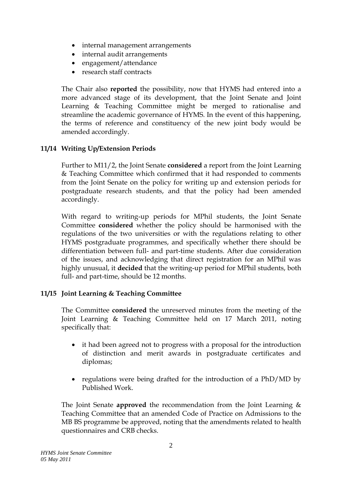- internal management arrangements
- internal audit arrangements
- engagement/attendance
- research staff contracts

The Chair also **reported** the possibility, now that HYMS had entered into a more advanced stage of its development, that the Joint Senate and Joint Learning & Teaching Committee might be merged to rationalise and streamline the academic governance of HYMS. In the event of this happening, the terms of reference and constituency of the new joint body would be amended accordingly.

## **11/14 Writing Up/Extension Periods**

Further to M11/2, the Joint Senate **considered** a report from the Joint Learning & Teaching Committee which confirmed that it had responded to comments from the Joint Senate on the policy for writing up and extension periods for postgraduate research students, and that the policy had been amended accordingly.

With regard to writing-up periods for MPhil students, the Joint Senate Committee **considered** whether the policy should be harmonised with the regulations of the two universities or with the regulations relating to other HYMS postgraduate programmes, and specifically whether there should be differentiation between full- and part-time students. After due consideration of the issues, and acknowledging that direct registration for an MPhil was highly unusual, it **decided** that the writing-up period for MPhil students, both full- and part-time, should be 12 months.

### **11/15 Joint Learning & Teaching Committee**

The Committee **considered** the unreserved minutes from the meeting of the Joint Learning & Teaching Committee held on 17 March 2011, noting specifically that:

- it had been agreed not to progress with a proposal for the introduction of distinction and merit awards in postgraduate certificates and diplomas;
- regulations were being drafted for the introduction of a PhD/MD by Published Work.

The Joint Senate **approved** the recommendation from the Joint Learning & Teaching Committee that an amended Code of Practice on Admissions to the MB BS programme be approved, noting that the amendments related to health questionnaires and CRB checks.